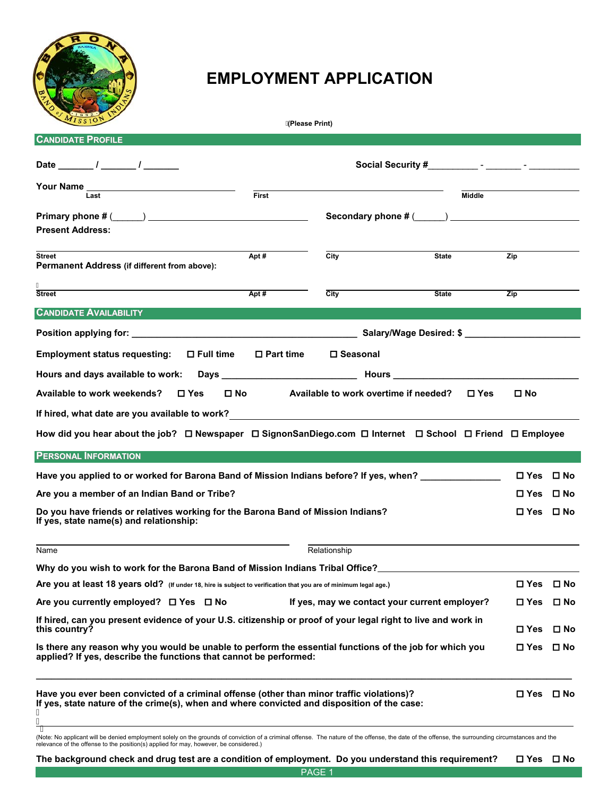

## **EMPLOYMENT APPLICATION**

| MISSION                                                                                                                                                                                       | (Please Print)      |                                                                            |              |                      |              |
|-----------------------------------------------------------------------------------------------------------------------------------------------------------------------------------------------|---------------------|----------------------------------------------------------------------------|--------------|----------------------|--------------|
| <b>CANDIDATE PROFILE</b>                                                                                                                                                                      |                     |                                                                            |              |                      |              |
| Date $\frac{1}{\sqrt{2\pi}}$                                                                                                                                                                  |                     |                                                                            |              |                      |              |
|                                                                                                                                                                                               |                     |                                                                            |              |                      |              |
| Last                                                                                                                                                                                          | First               |                                                                            | Middle       |                      |              |
|                                                                                                                                                                                               |                     |                                                                            |              |                      |              |
| <b>Present Address:</b>                                                                                                                                                                       |                     |                                                                            |              |                      |              |
| <b>Street</b><br><b>Permanent Address (if different from above):</b>                                                                                                                          | Apt#                | City                                                                       | <b>State</b> | Zip                  |              |
|                                                                                                                                                                                               |                     |                                                                            |              |                      |              |
| <b>Street</b>                                                                                                                                                                                 | Apt $#$             | $\overline{City}$                                                          | <b>State</b> | Zip                  |              |
| <b>CANDIDATE AVAILABILITY</b>                                                                                                                                                                 |                     |                                                                            |              |                      |              |
|                                                                                                                                                                                               |                     |                                                                            |              |                      |              |
| Employment status requesting: □ Full time                                                                                                                                                     | $\square$ Part time | □ Seasonal                                                                 |              |                      |              |
|                                                                                                                                                                                               |                     |                                                                            |              |                      |              |
| Available to work weekends?<br>$\square$ Yes                                                                                                                                                  |                     | $\square$ No $\square$ Available to work overtime if needed? $\square$ Yes |              | $\Box$ No            |              |
|                                                                                                                                                                                               |                     |                                                                            |              |                      |              |
| How did you hear about the job? □ Newspaper □ SignonSanDiego.com □ Internet □ School □ Friend □ Employee                                                                                      |                     |                                                                            |              |                      |              |
| <b>PERSONAL INFORMATION</b>                                                                                                                                                                   |                     |                                                                            |              |                      |              |
| Have you applied to or worked for Barona Band of Mission Indians before? If yes, when? _____________                                                                                          |                     |                                                                            |              | $\Box$ Yes $\Box$ No |              |
| Are you a member of an Indian Band or Tribe?                                                                                                                                                  |                     |                                                                            |              | <b>□Yes □No</b>      |              |
| Do you have friends or relatives working for the Barona Band of Mission Indians?<br>If yes, state name(s) and relationship:                                                                   |                     |                                                                            |              | $\Box$ Yes $\Box$ No |              |
| Name                                                                                                                                                                                          |                     | Relationship                                                               |              |                      |              |
| Why do you wish to work for the Barona Band of Mission Indians Tribal Office?                                                                                                                 |                     |                                                                            |              |                      |              |
| Are you at least 18 years old? (If under 18, hire is subject to verification that you are of minimum legal age.)                                                                              |                     |                                                                            |              | <b>□ Yes</b>         | □ No         |
| Are you currently employed? □ Yes □ No                                                                                                                                                        |                     | If yes, may we contact your current employer?                              |              | $\Box$ Yes $\Box$ No |              |
| If hired, can you present evidence of your U.S. citizenship or proof of your legal right to live and work in<br>this country?                                                                 |                     |                                                                            |              | $\square$ Yes        | $\square$ No |
| Is there any reason why you would be unable to perform the essential functions of the job for which you<br>applied? If yes, describe the functions that cannot be performed:                  |                     |                                                                            |              | <b>□ Yes</b> □ No    |              |
| Have you ever been convicted of a criminal offense (other than minor traffic violations)?<br>If yes, state nature of the crime(s), when and where convicted and disposition of the case:<br>Ą |                     |                                                                            |              | <b>□ Yes</b> □ No    |              |
| thuill be depicted male upon the localities to a communities of a criminal effection. The poture of the offence, the date of the offered the current disc significance and the                |                     |                                                                            |              |                      |              |

(Note: No applicant will be denied employment solely on the grounds of conviction of a criminal offense. The nature of the offense, the date of the offense, the surrounding circumstances and the<br>relevance of the offense to

**The background check and drug test are a condition of employment. Do you understand this requirement? Yes No** 

PAGE<sub>1</sub>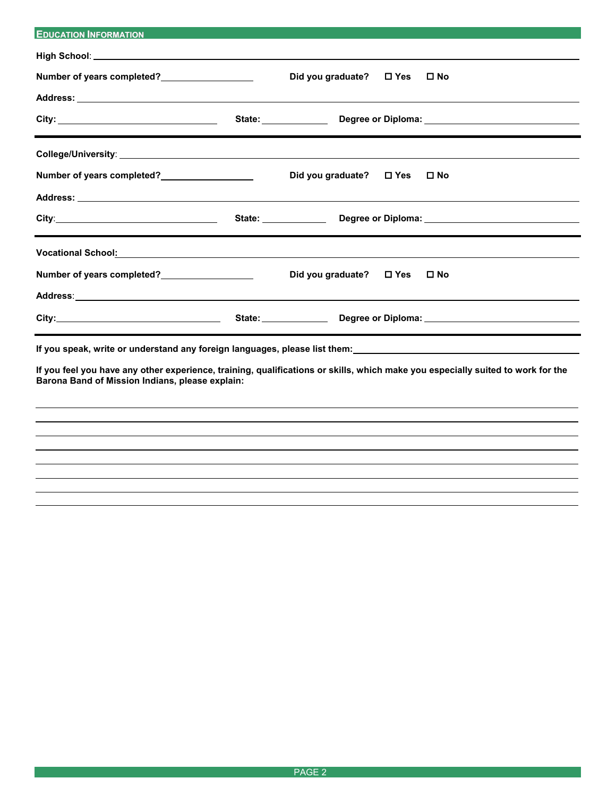| <b>EDUCATION INFORMATION</b>                                                                                                                                                                                                   |                         |                                                                                                                       |
|--------------------------------------------------------------------------------------------------------------------------------------------------------------------------------------------------------------------------------|-------------------------|-----------------------------------------------------------------------------------------------------------------------|
|                                                                                                                                                                                                                                |                         |                                                                                                                       |
| Number of years completed?<br><u> </u>                                                                                                                                                                                         | Did you graduate? □ Yes | $\square$ No                                                                                                          |
|                                                                                                                                                                                                                                |                         |                                                                                                                       |
|                                                                                                                                                                                                                                |                         |                                                                                                                       |
|                                                                                                                                                                                                                                |                         |                                                                                                                       |
| Number of years completed?<br><u>Number of years completed?</u>                                                                                                                                                                | Did you graduate? □ Yes | $\square$ No                                                                                                          |
|                                                                                                                                                                                                                                |                         |                                                                                                                       |
|                                                                                                                                                                                                                                |                         |                                                                                                                       |
|                                                                                                                                                                                                                                |                         |                                                                                                                       |
| Number of years completed?<br><u> </u>                                                                                                                                                                                         | Did you graduate? □ Yes | $\square$ No                                                                                                          |
| Address: Andreas Address: Address: Address: Address: Address: Address: Address: Address: Address: Address: Address: Address: Address: Address: Address: Address: Address: Address: Address: Address: Address: Address: Address |                         |                                                                                                                       |
| City: 2000 City: 2000 City: 2000 City: 2000 City: 2000 City: 2000 City: 2000 City: 2000 City: 2000 City: 2000 City: 2000 City: 2000 City: 2000 City: 2000 City: 2000 City: 2000 City: 2000 City: 2000 City: 2000 City: 2000 Ci |                         |                                                                                                                       |
| and the control of the control of the control of the control of the control of the control of the control of the<br>If you speak, write or understand any foreign languages, please list them:                                 |                         | <u> 1980 - Johann Stoff, deutscher Stoff, der Stoff, der Stoff, der Stoff, der Stoff, der Stoff, der Stoff, der S</u> |

**If you feel you have any other experience, training, qualifications or skills, which make you especially suited to work for the Barona Band of Mission Indians, please explain:**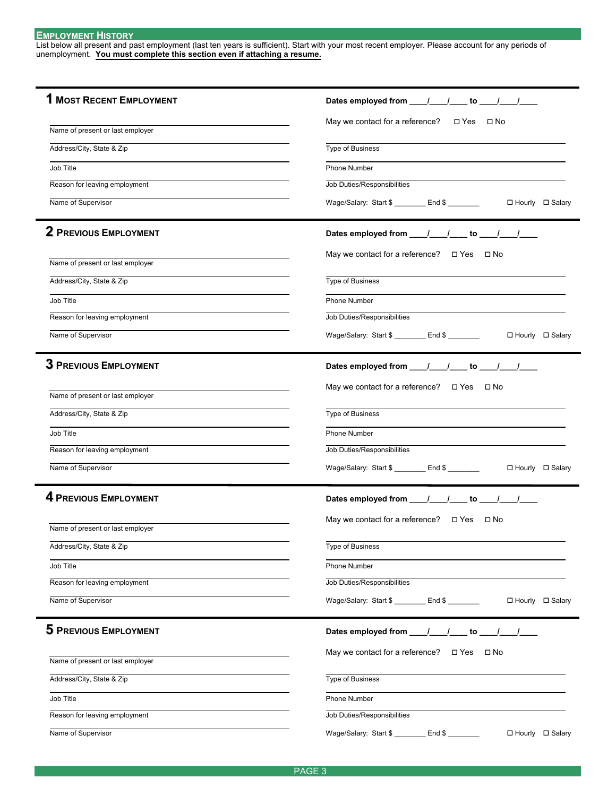## **EMPLOYMENT HISTORY**

List below all present and past employment (last ten years is sufficient). Start with your most recent employer. Please account for any periods of unemployment. **You must complete this section even if attaching a resume.** 

| <b>1 MOST RECENT EMPLOYMENT</b>  | Dates employed from ____/____/____ to ____/____/____                  |
|----------------------------------|-----------------------------------------------------------------------|
|                                  | May we contact for a reference?<br>□ Yes □ No                         |
| Name of present or last employer |                                                                       |
| Address/City, State & Zip        | <b>Type of Business</b>                                               |
| Job Title                        | Phone Number                                                          |
| Reason for leaving employment    | Job Duties/Responsibilities                                           |
| Name of Supervisor               | Wage/Salary: Start \$ _________ End \$ ________<br>□ Hourly □ Salary  |
| 2 PREVIOUS EMPLOYMENT            | Dates employed from ____/____/ to ____/___/                           |
| Name of present or last employer | May we contact for a reference? $\Box$ Yes $\Box$ No                  |
| Address/City, State & Zip        | <b>Type of Business</b>                                               |
| Job Title                        | Phone Number                                                          |
| Reason for leaving employment    | Job Duties/Responsibilities                                           |
| Name of Supervisor               | Wage/Salary: Start \$ _________ End \$ ________<br>□ Hourly □ Salary  |
|                                  |                                                                       |
| <b>3 PREVIOUS EMPLOYMENT</b>     | Dates employed from _____/_____/ to ____/____/                        |
|                                  | May we contact for a reference? $\Box$ Yes $\Box$ No                  |
| Name of present or last employer |                                                                       |
| Address/City, State & Zip        | Type of Business                                                      |
| Job Title                        | Phone Number                                                          |
| Reason for leaving employment    | Job Duties/Responsibilities                                           |
| Name of Supervisor               | Wage/Salary: Start \$ ________ End \$ _________     □ Hourly □ Salary |
| 4 PREVIOUS EMPLOYMENT            | Dates employed from ____/____/____ to ____/____/____                  |
|                                  | May we contact for a reference? $\Box$ Yes $\Box$ No                  |
| Name of present or last employer |                                                                       |
| Address/City, State & Zip        | <b>Type of Business</b>                                               |
| Job Title                        | Phone Number                                                          |
| Reason for leaving employment    | Job Duties/Responsibilities                                           |
| Name of Supervisor               | Wage/Salary: Start \$ _________ End \$ _______<br>□ Hourly □ Salary   |
| <b>5 PREVIOUS EMPLOYMENT</b>     | Dates employed from ____/____/____ to ____/____/____                  |
| Name of present or last employer | May we contact for a reference? $\Box$ Yes $\Box$ No                  |
| Address/City, State & Zip        | Type of Business                                                      |
| Job Title                        | Phone Number                                                          |
| Reason for leaving employment    | Job Duties/Responsibilities                                           |
| Name of Supervisor               | Wage/Salary: Start \$ ________ End \$ _______<br>□ Hourly □ Salary    |